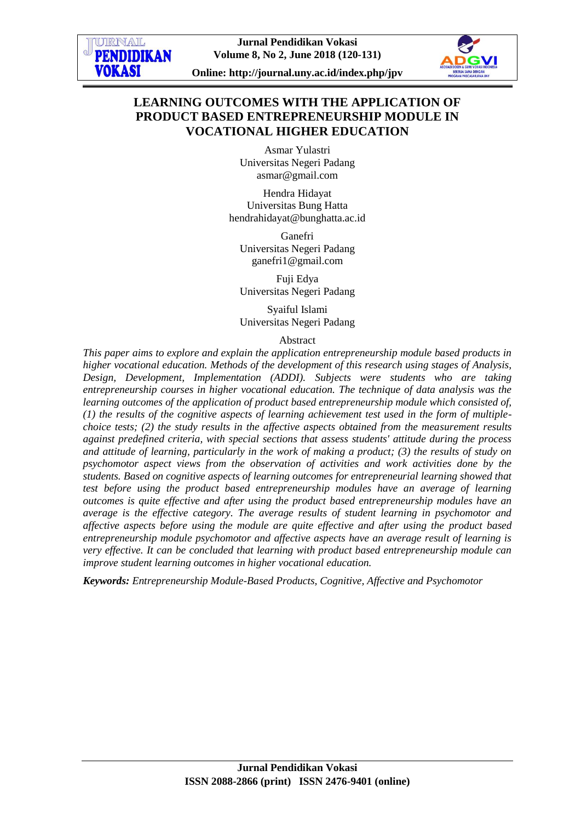

**Online: http://journal.uny.ac.id/index.php/jpv**

# **LEARNING OUTCOMES WITH THE APPLICATION OF PRODUCT BASED ENTREPRENEURSHIP MODULE IN VOCATIONAL HIGHER EDUCATION**

Asmar Yulastri Universitas Negeri Padang [asmar@gmail.com](mailto:asmar@gmail.com)

Hendra Hidayat Universitas Bung Hatta [hendrahidayat@bunghatta.ac.id](mailto:hendrahidayat@bunghatta.ac.id)

Ganefri Universitas Negeri Padang [ganefri1@gmail.com](mailto:ganefri1@gmail.com)

Fuji Edya Universitas Negeri Padang

Syaiful Islami Universitas Negeri Padang

Abstract

*This paper aims to explore and explain the application entrepreneurship module based products in higher vocational education. Methods of the development of this research using stages of Analysis, Design, Development, Implementation (ADDI). Subjects were students who are taking entrepreneurship courses in higher vocational education. The technique of data analysis was the learning outcomes of the application of product based entrepreneurship module which consisted of, (1) the results of the cognitive aspects of learning achievement test used in the form of multiplechoice tests; (2) the study results in the affective aspects obtained from the measurement results against predefined criteria, with special sections that assess students' attitude during the process and attitude of learning, particularly in the work of making a product; (3) the results of study on psychomotor aspect views from the observation of activities and work activities done by the students. Based on cognitive aspects of learning outcomes for entrepreneurial learning showed that test before using the product based entrepreneurship modules have an average of learning outcomes is quite effective and after using the product based entrepreneurship modules have an average is the effective category. The average results of student learning in psychomotor and affective aspects before using the module are quite effective and after using the product based entrepreneurship module psychomotor and affective aspects have an average result of learning is very effective. It can be concluded that learning with product based entrepreneurship module can improve student learning outcomes in higher vocational education.*

*Keywords: Entrepreneurship Module-Based Products, Cognitive, Affective and Psychomotor*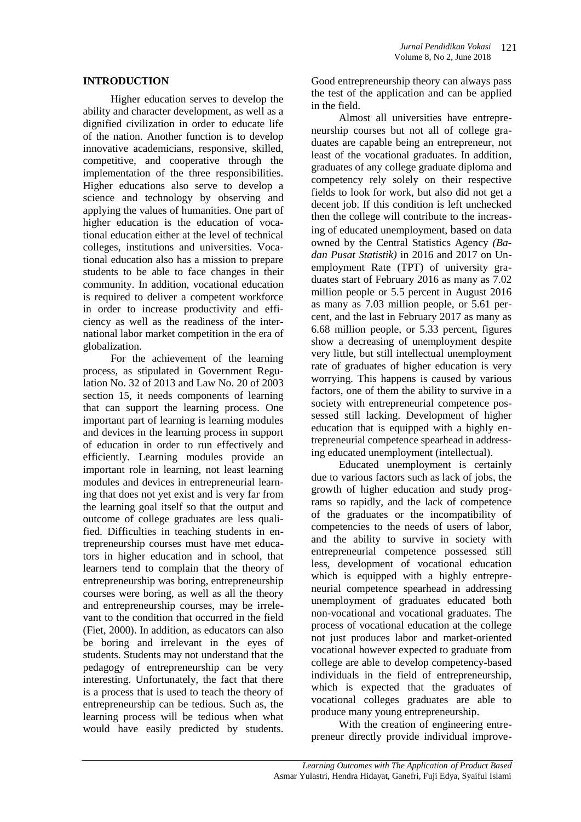### **INTRODUCTION**

Higher education serves to develop the ability and character development, as well as a dignified civilization in order to educate life of the nation. Another function is to develop innovative academicians, responsive, skilled, competitive, and cooperative through the implementation of the three responsibilities. Higher educations also serve to develop a science and technology by observing and applying the values of humanities. One part of higher education is the education of vocational education either at the level of technical colleges, institutions and universities. Vocational education also has a mission to prepare students to be able to face changes in their community. In addition, vocational education is required to deliver a competent workforce in order to increase productivity and efficiency as well as the readiness of the international labor market competition in the era of globalization.

For the achievement of the learning process, as stipulated in Government Regulation No. 32 of 2013 and Law No. 20 of 2003 section 15, it needs components of learning that can support the learning process. One important part of learning is learning modules and devices in the learning process in support of education in order to run effectively and efficiently. Learning modules provide an important role in learning, not least learning modules and devices in entrepreneurial learning that does not yet exist and is very far from the learning goal itself so that the output and outcome of college graduates are less qualified. Difficulties in teaching students in entrepreneurship courses must have met educators in higher education and in school, that learners tend to complain that the theory of entrepreneurship was boring, entrepreneurship courses were boring, as well as all the theory and entrepreneurship courses, may be irrelevant to the condition that occurred in the field (Fiet, 2000). In addition, as educators can also be boring and irrelevant in the eyes of students. Students may not understand that the pedagogy of entrepreneurship can be very interesting. Unfortunately, the fact that there is a process that is used to teach the theory of entrepreneurship can be tedious. Such as, the learning process will be tedious when what would have easily predicted by students.

Good entrepreneurship theory can always pass the test of the application and can be applied in the field.

Almost all universities have entrepreneurship courses but not all of college graduates are capable being an entrepreneur, not least of the vocational graduates. In addition, graduates of any college graduate diploma and competency rely solely on their respective fields to look for work, but also did not get a decent job. If this condition is left unchecked then the college will contribute to the increasing of educated unemployment, based on data owned by the Central Statistics Agency *(Badan Pusat Statistik)* in 2016 and 2017 on Unemployment Rate (TPT) of university graduates start of February 2016 as many as 7.02 million people or 5.5 percent in August 2016 as many as 7.03 million people, or 5.61 percent, and the last in February 2017 as many as 6.68 million people, or 5.33 percent, figures show a decreasing of unemployment despite very little, but still intellectual unemployment rate of graduates of higher education is very worrying. This happens is caused by various factors, one of them the ability to survive in a society with entrepreneurial competence possessed still lacking. Development of higher education that is equipped with a highly entrepreneurial competence spearhead in addressing educated unemployment (intellectual).

Educated unemployment is certainly due to various factors such as lack of jobs, the growth of higher education and study programs so rapidly, and the lack of competence of the graduates or the incompatibility of competencies to the needs of users of labor, and the ability to survive in society with entrepreneurial competence possessed still less, development of vocational education which is equipped with a highly entrepreneurial competence spearhead in addressing unemployment of graduates educated both non-vocational and vocational graduates. The process of vocational education at the college not just produces labor and market-oriented vocational however expected to graduate from college are able to develop competency-based individuals in the field of entrepreneurship, which is expected that the graduates of vocational colleges graduates are able to produce many young entrepreneurship.

With the creation of engineering entrepreneur directly provide individual improve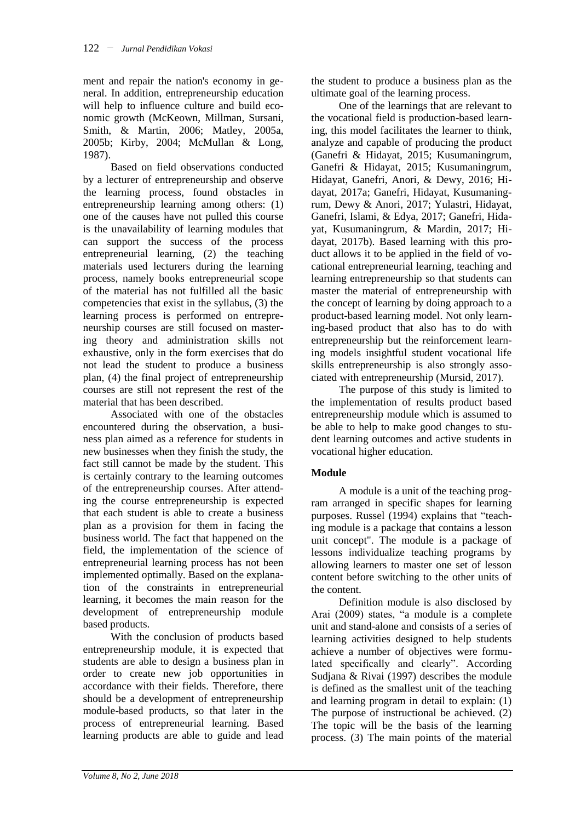ment and repair the nation's economy in general. In addition, entrepreneurship education will help to influence culture and build economic growth (McKeown, Millman, Sursani, Smith, & Martin, 2006; Matley, 2005a, 2005b; Kirby, 2004; McMullan & Long, 1987).

Based on field observations conducted by a lecturer of entrepreneurship and observe the learning process, found obstacles in entrepreneurship learning among others: (1) one of the causes have not pulled this course is the unavailability of learning modules that can support the success of the process entrepreneurial learning, (2) the teaching materials used lecturers during the learning process, namely books entrepreneurial scope of the material has not fulfilled all the basic competencies that exist in the syllabus, (3) the learning process is performed on entrepreneurship courses are still focused on mastering theory and administration skills not exhaustive, only in the form exercises that do not lead the student to produce a business plan, (4) the final project of entrepreneurship courses are still not represent the rest of the material that has been described.

Associated with one of the obstacles encountered during the observation, a business plan aimed as a reference for students in new businesses when they finish the study, the fact still cannot be made by the student. This is certainly contrary to the learning outcomes of the entrepreneurship courses. After attending the course entrepreneurship is expected that each student is able to create a business plan as a provision for them in facing the business world. The fact that happened on the field, the implementation of the science of entrepreneurial learning process has not been implemented optimally. Based on the explanation of the constraints in entrepreneurial learning, it becomes the main reason for the development of entrepreneurship module based products.

With the conclusion of products based entrepreneurship module, it is expected that students are able to design a business plan in order to create new job opportunities in accordance with their fields. Therefore, there should be a development of entrepreneurship module-based products, so that later in the process of entrepreneurial learning. Based learning products are able to guide and lead

the student to produce a business plan as the ultimate goal of the learning process.

One of the learnings that are relevant to the vocational field is production-based learning, this model facilitates the learner to think, analyze and capable of producing the product (Ganefri & Hidayat, 2015; Kusumaningrum, Ganefri & Hidayat, 2015; Kusumaningrum, Hidayat, Ganefri, Anori, & Dewy, 2016; Hidayat, 2017a; Ganefri, Hidayat, Kusumaningrum, Dewy & Anori, 2017; Yulastri, Hidayat, Ganefri, Islami, & Edya, 2017; Ganefri, Hidayat, Kusumaningrum, & Mardin, 2017; Hidayat, 2017b). Based learning with this product allows it to be applied in the field of vocational entrepreneurial learning, teaching and learning entrepreneurship so that students can master the material of entrepreneurship with the concept of learning by doing approach to a product-based learning model. Not only learning-based product that also has to do with entrepreneurship but the reinforcement learning models insightful student vocational life skills entrepreneurship is also strongly associated with entrepreneurship (Mursid, 2017).

The purpose of this study is limited to the implementation of results product based entrepreneurship module which is assumed to be able to help to make good changes to student learning outcomes and active students in vocational higher education.

# **Module**

A module is a unit of the teaching program arranged in specific shapes for learning purposes. Russel (1994) explains that "teaching module is a package that contains a lesson unit concept". The module is a package of lessons individualize teaching programs by allowing learners to master one set of lesson content before switching to the other units of the content.

Definition module is also disclosed by Arai (2009) states, "a module is a complete unit and stand-alone and consists of a series of learning activities designed to help students achieve a number of objectives were formulated specifically and clearly". According Sudjana & Rivai (1997) describes the module is defined as the smallest unit of the teaching and learning program in detail to explain: (1) The purpose of instructional be achieved. (2) The topic will be the basis of the learning process. (3) The main points of the material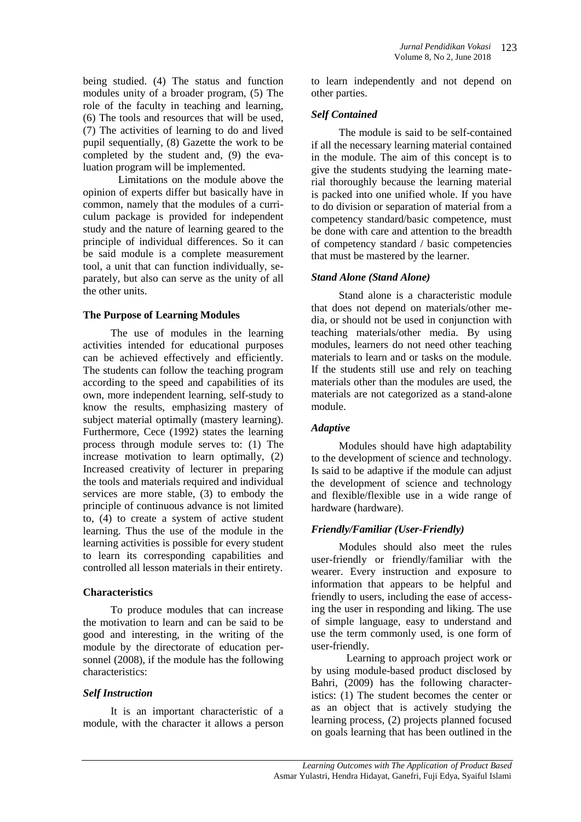being studied. (4) The status and function modules unity of a broader program, (5) The role of the faculty in teaching and learning, (6) The tools and resources that will be used, (7) The activities of learning to do and lived pupil sequentially, (8) Gazette the work to be completed by the student and, (9) the evaluation program will be implemented.

Limitations on the module above the opinion of experts differ but basically have in common, namely that the modules of a curriculum package is provided for independent study and the nature of learning geared to the principle of individual differences. So it can be said module is a complete measurement tool, a unit that can function individually, separately, but also can serve as the unity of all the other units.

### **The Purpose of Learning Modules**

The use of modules in the learning activities intended for educational purposes can be achieved effectively and efficiently. The students can follow the teaching program according to the speed and capabilities of its own, more independent learning, self-study to know the results, emphasizing mastery of subject material optimally (mastery learning). Furthermore, Cece (1992) states the learning process through module serves to: (1) The increase motivation to learn optimally, (2) Increased creativity of lecturer in preparing the tools and materials required and individual services are more stable, (3) to embody the principle of continuous advance is not limited to, (4) to create a system of active student learning. Thus the use of the module in the learning activities is possible for every student to learn its corresponding capabilities and controlled all lesson materials in their entirety.

## **Characteristics**

To produce modules that can increase the motivation to learn and can be said to be good and interesting, in the writing of the module by the directorate of education personnel (2008), if the module has the following characteristics:

## *Self Instruction*

It is an important characteristic of a module, with the character it allows a person to learn independently and not depend on other parties.

## *Self Contained*

The module is said to be self-contained if all the necessary learning material contained in the module. The aim of this concept is to give the students studying the learning material thoroughly because the learning material is packed into one unified whole. If you have to do division or separation of material from a competency standard/basic competence, must be done with care and attention to the breadth of competency standard / basic competencies that must be mastered by the learner.

### *Stand Alone (Stand Alone)*

Stand alone is a characteristic module that does not depend on materials/other media, or should not be used in conjunction with teaching materials/other media. By using modules, learners do not need other teaching materials to learn and or tasks on the module. If the students still use and rely on teaching materials other than the modules are used, the materials are not categorized as a stand-alone module.

## *Adaptive*

Modules should have high adaptability to the development of science and technology. Is said to be adaptive if the module can adjust the development of science and technology and flexible/flexible use in a wide range of hardware (hardware).

## *Friendly/Familiar (User-Friendly)*

Modules should also meet the rules user-friendly or friendly/familiar with the wearer. Every instruction and exposure to information that appears to be helpful and friendly to users, including the ease of accessing the user in responding and liking. The use of simple language, easy to understand and use the term commonly used, is one form of user-friendly.

Learning to approach project work or by using module-based product disclosed by Bahri, (2009) has the following characteristics: (1) The student becomes the center or as an object that is actively studying the learning process, (2) projects planned focused on goals learning that has been outlined in the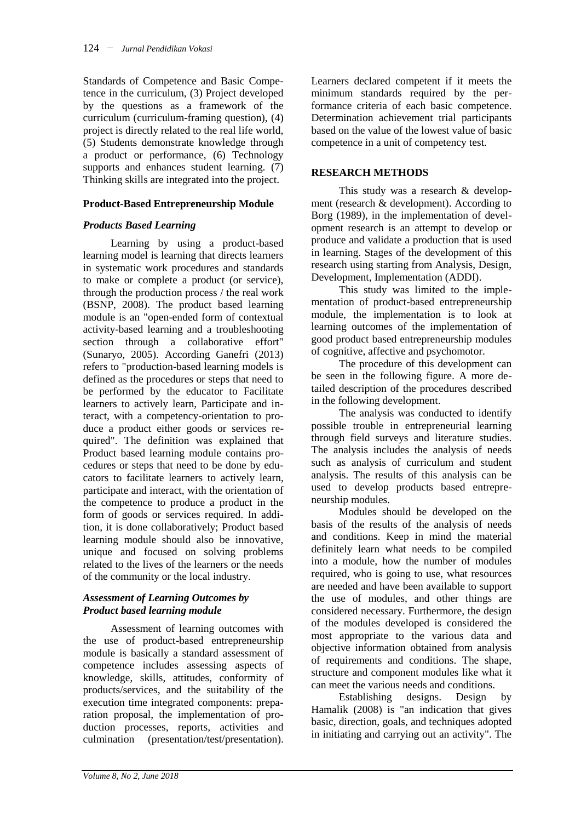Standards of Competence and Basic Competence in the curriculum, (3) Project developed by the questions as a framework of the curriculum (curriculum-framing question), (4) project is directly related to the real life world, (5) Students demonstrate knowledge through a product or performance, (6) Technology supports and enhances student learning. (7) Thinking skills are integrated into the project.

## **Product-Based Entrepreneurship Module**

## *Products Based Learning*

Learning by using a product-based learning model is learning that directs learners in systematic work procedures and standards to make or complete a product (or service), through the production process / the real work (BSNP, 2008). The product based learning module is an "open-ended form of contextual activity-based learning and a troubleshooting section through a collaborative effort" (Sunaryo, 2005). According Ganefri (2013) refers to "production-based learning models is defined as the procedures or steps that need to be performed by the educator to Facilitate learners to actively learn, Participate and interact, with a competency-orientation to produce a product either goods or services required". The definition was explained that Product based learning module contains procedures or steps that need to be done by educators to facilitate learners to actively learn, participate and interact, with the orientation of the competence to produce a product in the form of goods or services required. In addition, it is done collaboratively; Product based learning module should also be innovative, unique and focused on solving problems related to the lives of the learners or the needs of the community or the local industry.

## *Assessment of Learning Outcomes by Product based learning module*

Assessment of learning outcomes with the use of product-based entrepreneurship module is basically a standard assessment of competence includes assessing aspects of knowledge, skills, attitudes, conformity of products/services, and the suitability of the execution time integrated components: preparation proposal, the implementation of production processes, reports, activities and culmination (presentation/test/presentation).

Learners declared competent if it meets the minimum standards required by the performance criteria of each basic competence. Determination achievement trial participants based on the value of the lowest value of basic competence in a unit of competency test.

## **RESEARCH METHODS**

This study was a research & development (research & development). According to Borg (1989), in the implementation of development research is an attempt to develop or produce and validate a production that is used in learning. Stages of the development of this research using starting from Analysis, Design, Development, Implementation (ADDI).

This study was limited to the implementation of product-based entrepreneurship module, the implementation is to look at learning outcomes of the implementation of good product based entrepreneurship modules of cognitive, affective and psychomotor.

The procedure of this development can be seen in the following figure. A more detailed description of the procedures described in the following development.

The analysis was conducted to identify possible trouble in entrepreneurial learning through field surveys and literature studies. The analysis includes the analysis of needs such as analysis of curriculum and student analysis. The results of this analysis can be used to develop products based entrepreneurship modules.

Modules should be developed on the basis of the results of the analysis of needs and conditions. Keep in mind the material definitely learn what needs to be compiled into a module, how the number of modules required, who is going to use, what resources are needed and have been available to support the use of modules, and other things are considered necessary. Furthermore, the design of the modules developed is considered the most appropriate to the various data and objective information obtained from analysis of requirements and conditions. The shape, structure and component modules like what it can meet the various needs and conditions.

Establishing designs. Design by Hamalik (2008) is "an indication that gives basic, direction, goals, and techniques adopted in initiating and carrying out an activity". The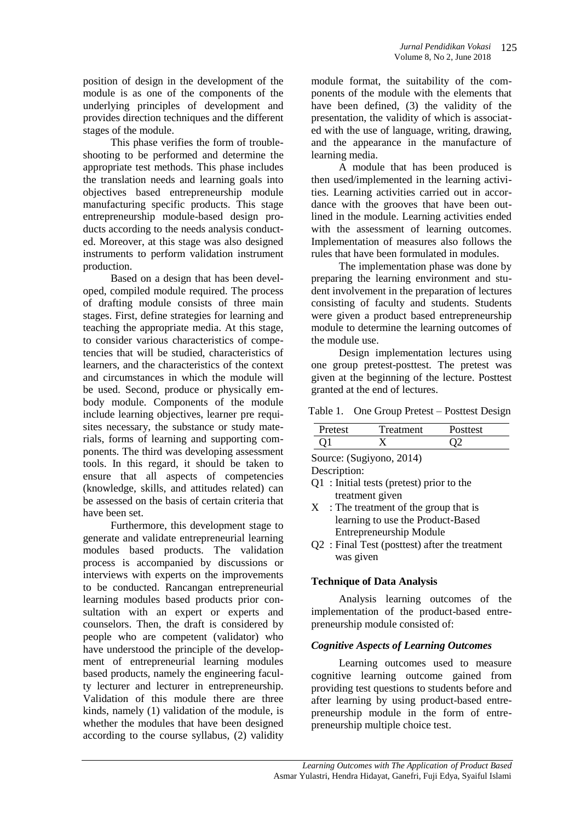position of design in the development of the module is as one of the components of the underlying principles of development and provides direction techniques and the different stages of the module.

This phase verifies the form of troubleshooting to be performed and determine the appropriate test methods. This phase includes the translation needs and learning goals into objectives based entrepreneurship module manufacturing specific products. This stage entrepreneurship module-based design products according to the needs analysis conducted. Moreover, at this stage was also designed instruments to perform validation instrument production.

Based on a design that has been developed, compiled module required. The process of drafting module consists of three main stages. First, define strategies for learning and teaching the appropriate media. At this stage, to consider various characteristics of competencies that will be studied, characteristics of learners, and the characteristics of the context and circumstances in which the module will be used. Second, produce or physically embody module. Components of the module include learning objectives, learner pre requisites necessary, the substance or study materials, forms of learning and supporting components. The third was developing assessment tools. In this regard, it should be taken to ensure that all aspects of competencies (knowledge, skills, and attitudes related) can be assessed on the basis of certain criteria that have been set.

Furthermore, this development stage to generate and validate entrepreneurial learning modules based products. The validation process is accompanied by discussions or interviews with experts on the improvements to be conducted. Rancangan entrepreneurial learning modules based products prior consultation with an expert or experts and counselors. Then, the draft is considered by people who are competent (validator) who have understood the principle of the development of entrepreneurial learning modules based products, namely the engineering faculty lecturer and lecturer in entrepreneurship. Validation of this module there are three kinds, namely (1) validation of the module, is whether the modules that have been designed according to the course syllabus, (2) validity

module format, the suitability of the components of the module with the elements that have been defined, (3) the validity of the presentation, the validity of which is associated with the use of language, writing, drawing, and the appearance in the manufacture of learning media.

A module that has been produced is then used/implemented in the learning activities. Learning activities carried out in accordance with the grooves that have been outlined in the module. Learning activities ended with the assessment of learning outcomes. Implementation of measures also follows the rules that have been formulated in modules.

The implementation phase was done by preparing the learning environment and student involvement in the preparation of lectures consisting of faculty and students. Students were given a product based entrepreneurship module to determine the learning outcomes of the module use.

Design implementation lectures using one group pretest-posttest. The pretest was given at the beginning of the lecture. Posttest granted at the end of lectures.

Table 1. One Group Pretest – Posttest Design

| Pretest       | Treatment | Posttest |  |  |
|---------------|-----------|----------|--|--|
|               |           |          |  |  |
| $\bigcap$ 11) |           |          |  |  |

Source: (Sugiyono, 2014)

Description:

- Q1 : Initial tests (pretest) prior to the treatment given
- $X$ : The treatment of the group that is learning to use the Product-Based Entrepreneurship Module
- Q2 : Final Test (posttest) after the treatment was given

## **Technique of Data Analysis**

Analysis learning outcomes of the implementation of the product-based entrepreneurship module consisted of:

## *Cognitive Aspects of Learning Outcomes*

Learning outcomes used to measure cognitive learning outcome gained from providing test questions to students before and after learning by using product-based entrepreneurship module in the form of entrepreneurship multiple choice test.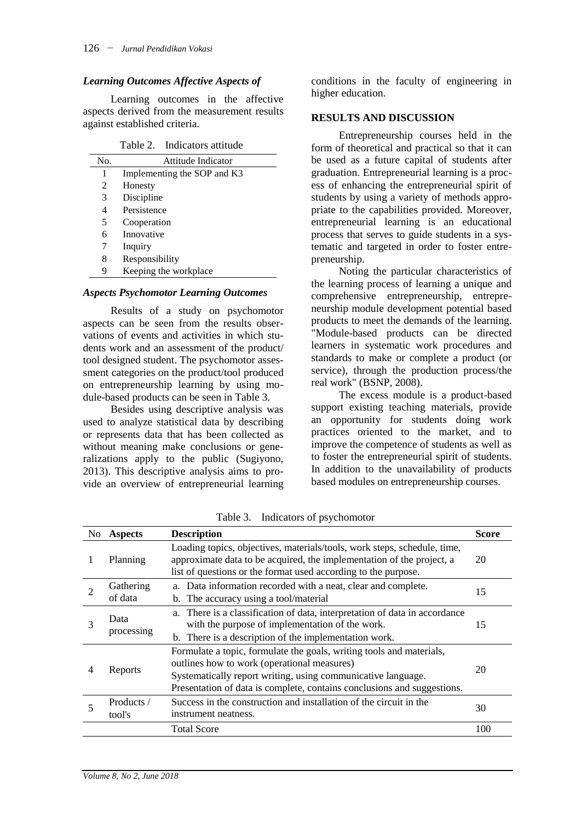#### *Learning Outcomes Affective Aspects of*

Learning outcomes in the affective aspects derived from the measurement results against established criteria.

Table 2. Indicators attitude

| No. | Attitude Indicator          |
|-----|-----------------------------|
| 1   | Implementing the SOP and K3 |
| 2   | Honesty                     |
| 3   | Discipline                  |
| 4   | Persistence                 |
| 5   | Cooperation                 |
| 6   | Innovative                  |
| 7   | Inquiry                     |
| 8   | Responsibility              |
| 9   | Keeping the workplace       |

#### *Aspects Psychomotor Learning Outcomes*

Results of a study on psychomotor aspects can be seen from the results observations of events and activities in which students work and an assessment of the product/ tool designed student. The psychomotor assessment categories on the product/tool produced on entrepreneurship learning by using module-based products can be seen in Table 3.

Besides using descriptive analysis was used to analyze statistical data by describing or represents data that has been collected as without meaning make conclusions or generalizations apply to the public (Sugiyono, 2013). This descriptive analysis aims to provide an overview of entrepreneurial learning

conditions in the faculty of engineering in higher education.

### **RESULTS AND DISCUSSION**

Entrepreneurship courses held in the form of theoretical and practical so that it can be used as a future capital of students after graduation. Entrepreneurial learning is a process of enhancing the entrepreneurial spirit of students by using a variety of methods appropriate to the capabilities provided. Moreover, entrepreneurial learning is an educational process that serves to guide students in a systematic and targeted in order to foster entrepreneurship.

Noting the particular characteristics of the learning process of learning a unique and comprehensive entrepreneurship, entrepreneurship module development potential based products to meet the demands of the learning. "Module-based products can be directed learners in systematic work procedures and standards to make or complete a product (or service), through the production process/the real work" (BSNP, 2008).

The excess module is a product-based support existing teaching materials, provide an opportunity for students doing work practices oriented to the market, and to improve the competence of students as well as to foster the entrepreneurial spirit of students. In addition to the unavailability of products based modules on entrepreneurship courses.

| No. | <b>Aspects</b>       | <b>Description</b>                                                                                                                                                                                                                                             | <b>Score</b> |
|-----|----------------------|----------------------------------------------------------------------------------------------------------------------------------------------------------------------------------------------------------------------------------------------------------------|--------------|
|     | Planning             | Loading topics, objectives, materials/tools, work steps, schedule, time,<br>approximate data to be acquired, the implementation of the project, a<br>list of questions or the format used according to the purpose.                                            | 20           |
|     | Gathering<br>of data | a. Data information recorded with a neat, clear and complete.<br>b. The accuracy using a tool/material                                                                                                                                                         | 15           |
| 3   | Data<br>processing   | a. There is a classification of data, interpretation of data in accordance<br>with the purpose of implementation of the work.<br>b. There is a description of the implementation work.                                                                         | 15           |
|     | Reports              | Formulate a topic, formulate the goals, writing tools and materials,<br>outlines how to work (operational measures)<br>Systematically report writing, using communicative language.<br>Presentation of data is complete, contains conclusions and suggestions. | 20           |
|     | Products /<br>tool's | Success in the construction and installation of the circuit in the<br>instrument neatness.                                                                                                                                                                     | 30           |
|     |                      | <b>Total Score</b>                                                                                                                                                                                                                                             | 100          |

Table 3. Indicators of psychomotor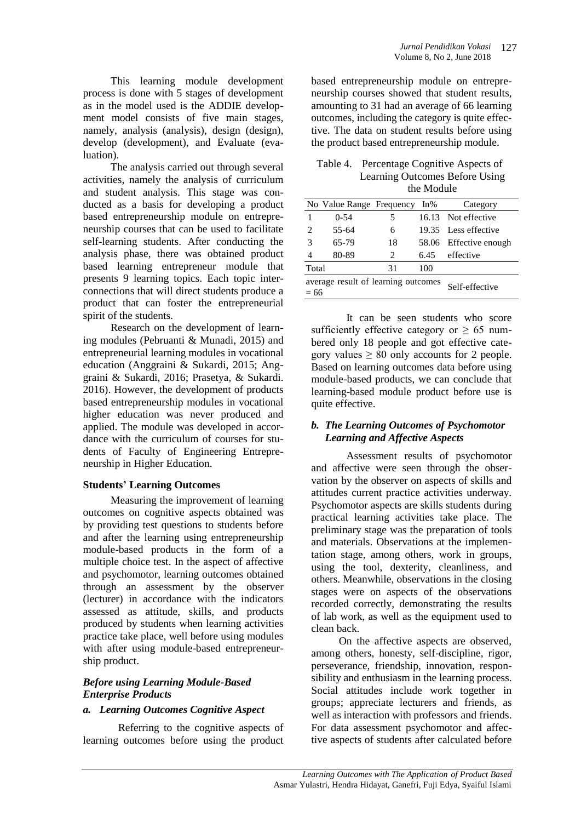This learning module development process is done with 5 stages of development as in the model used is the ADDIE development model consists of five main stages, namely, analysis (analysis), design (design), develop (development), and Evaluate (evaluation).

The analysis carried out through several activities, namely the analysis of curriculum and student analysis. This stage was conducted as a basis for developing a product based entrepreneurship module on entrepreneurship courses that can be used to facilitate self-learning students. After conducting the analysis phase, there was obtained product based learning entrepreneur module that presents 9 learning topics. Each topic interconnections that will direct students produce a product that can foster the entrepreneurial spirit of the students.

Research on the development of learning modules (Pebruanti & Munadi, 2015) and entrepreneurial learning modules in vocational education (Anggraini & Sukardi, 2015; Anggraini & Sukardi, 2016; Prasetya, & Sukardi. 2016). However, the development of products based entrepreneurship modules in vocational higher education was never produced and applied. The module was developed in accordance with the curriculum of courses for students of Faculty of Engineering Entrepreneurship in Higher Education.

## **Students' Learning Outcomes**

Measuring the improvement of learning outcomes on cognitive aspects obtained was by providing test questions to students before and after the learning using entrepreneurship module-based products in the form of a multiple choice test. In the aspect of affective and psychomotor, learning outcomes obtained through an assessment by the observer (lecturer) in accordance with the indicators assessed as attitude, skills, and products produced by students when learning activities practice take place, well before using modules with after using module-based entrepreneurship product.

## *Before using Learning Module-Based Enterprise Products*

## *a. Learning Outcomes Cognitive Aspect*

Referring to the cognitive aspects of learning outcomes before using the product based entrepreneurship module on entrepreneurship courses showed that student results, amounting to 31 had an average of 66 learning outcomes, including the category is quite effective. The data on student results before using the product based entrepreneurship module.

#### Table 4. Percentage Cognitive Aspects of Learning Outcomes Before Using the Module

|                                                                 | No Value Range Frequency |                             | $In\%$ | Category               |
|-----------------------------------------------------------------|--------------------------|-----------------------------|--------|------------------------|
|                                                                 | $0 - 54$                 | 5                           |        | 16.13 Not effective    |
| $\mathcal{D}_{\mathcal{L}}$                                     | 55-64                    | 6                           |        | 19.35 Less effective   |
| 3                                                               | 65-79                    | 18                          |        | 58.06 Effective enough |
| 4                                                               | 80-89                    | $\mathcal{D}_{\mathcal{L}}$ | 6.45   | effective              |
| Total                                                           |                          | 31                          | 100    |                        |
| average result of learning outcomes<br>Self-effective<br>$= 66$ |                          |                             |        |                        |

It can be seen students who score sufficiently effective category or  $\geq 65$  numbered only 18 people and got effective category values  $\geq 80$  only accounts for 2 people. Based on learning outcomes data before using module-based products, we can conclude that learning-based module product before use is quite effective.

## *b. The Learning Outcomes of Psychomotor Learning and Affective Aspects*

Assessment results of psychomotor and affective were seen through the observation by the observer on aspects of skills and attitudes current practice activities underway. Psychomotor aspects are skills students during practical learning activities take place. The preliminary stage was the preparation of tools and materials. Observations at the implementation stage, among others, work in groups, using the tool, dexterity, cleanliness, and others. Meanwhile, observations in the closing stages were on aspects of the observations recorded correctly, demonstrating the results of lab work, as well as the equipment used to clean back.

On the affective aspects are observed, among others, honesty, self-discipline, rigor, perseverance, friendship, innovation, responsibility and enthusiasm in the learning process. Social attitudes include work together in groups; appreciate lecturers and friends, as well as interaction with professors and friends. For data assessment psychomotor and affective aspects of students after calculated before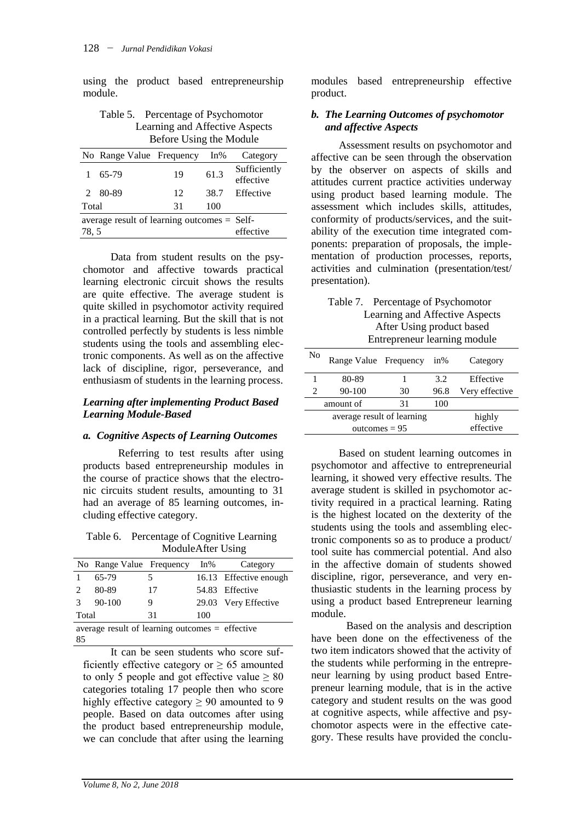using the product based entrepreneurship module.

| Table 5. Percentage of Psychomotor |
|------------------------------------|
| Learning and Affective Aspects     |
| Before Using the Module            |

|                                                                    | No Range Value Frequency |    | $In\%$ | Category                  |
|--------------------------------------------------------------------|--------------------------|----|--------|---------------------------|
|                                                                    | 65-79                    | 19 | 61.3   | Sufficiently<br>effective |
|                                                                    | 2 80-89                  | 12 | 38.7   | Effective                 |
| Total                                                              |                          | 31 | 100    |                           |
| average result of learning outcomes $=$ Self-<br>78.5<br>effective |                          |    |        |                           |

Data from student results on the psychomotor and affective towards practical learning electronic circuit shows the results are quite effective. The average student is quite skilled in psychomotor activity required in a practical learning. But the skill that is not controlled perfectly by students is less nimble students using the tools and assembling electronic components. As well as on the affective lack of discipline, rigor, perseverance, and enthusiasm of students in the learning process.

#### *Learning after implementing Product Based Learning Module-Based*

### *a. Cognitive Aspects of Learning Outcomes*

Referring to test results after using products based entrepreneurship modules in the course of practice shows that the electronic circuits student results, amounting to 31 had an average of 85 learning outcomes, including effective category.

Table 6. Percentage of Cognitive Learning ModuleAfter Using

|                                                   | No Range Value Frequency |    | In% | Category               |  |
|---------------------------------------------------|--------------------------|----|-----|------------------------|--|
| 1                                                 | 65-79                    | 5  |     | 16.13 Effective enough |  |
| $\mathcal{L}$                                     | 80-89                    | 17 |     | 54.83 Effective        |  |
| 3                                                 | $90 - 100$               | 9  |     | 29.03 Very Effective   |  |
| Total<br>31<br>100                                |                          |    |     |                        |  |
| average result of learning outcomes $=$ effective |                          |    |     |                        |  |

It can be seen students who score sufficiently effective category or  $\geq 65$  amounted to only 5 people and got effective value  $\geq 80$ categories totaling 17 people then who score highly effective category  $\geq 90$  amounted to 9 people. Based on data outcomes after using the product based entrepreneurship module, we can conclude that after using the learning modules based entrepreneurship effective product.

### *b. The Learning Outcomes of psychomotor and affective Aspects*

Assessment results on psychomotor and affective can be seen through the observation by the observer on aspects of skills and attitudes current practice activities underway using product based learning module. The assessment which includes skills, attitudes, conformity of products/services, and the suitability of the execution time integrated components: preparation of proposals, the implementation of production processes, reports, activities and culmination (presentation/test/ presentation).

| Table 7. Percentage of Psychomotor |
|------------------------------------|
| Learning and Affective Aspects     |
| After Using product based          |
| Entrepreneur learning module       |

| No                         | Range Value Frequency |    | $in\%$ | Category       |
|----------------------------|-----------------------|----|--------|----------------|
|                            | 80-89                 |    | 3.2    | Effective      |
|                            | 90-100                | 30 | 96.8   | Very effective |
|                            | amount of             | 31 | 100    |                |
| average result of learning |                       |    | highly |                |
| outcomes $= 95$            |                       |    |        | effective      |

Based on student learning outcomes in psychomotor and affective to entrepreneurial learning, it showed very effective results. The average student is skilled in psychomotor activity required in a practical learning. Rating is the highest located on the dexterity of the students using the tools and assembling electronic components so as to produce a product/ tool suite has commercial potential. And also in the affective domain of students showed discipline, rigor, perseverance, and very enthusiastic students in the learning process by using a product based Entrepreneur learning module.

Based on the analysis and description have been done on the effectiveness of the two item indicators showed that the activity of the students while performing in the entrepreneur learning by using product based Entrepreneur learning module, that is in the active category and student results on the was good at cognitive aspects, while affective and psychomotor aspects were in the effective category. These results have provided the conclu-

85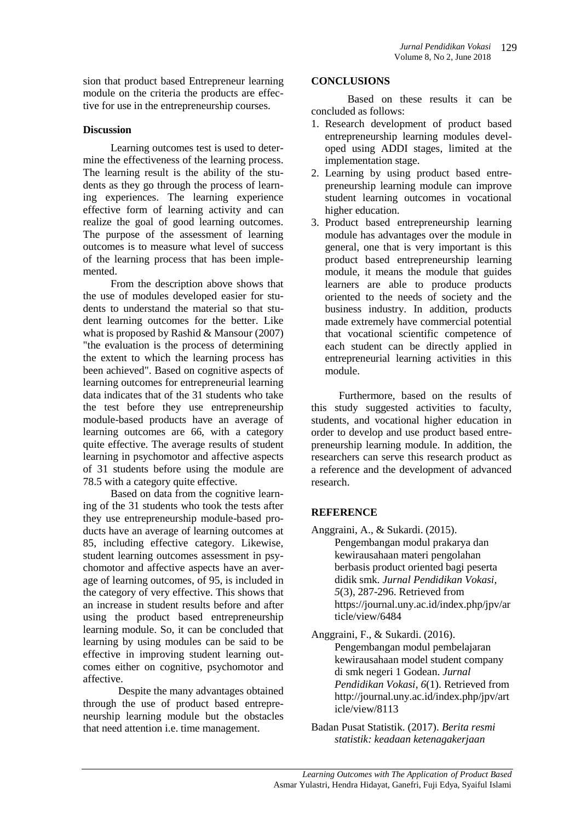sion that product based Entrepreneur learning module on the criteria the products are effective for use in the entrepreneurship courses.

### **Discussion**

Learning outcomes test is used to determine the effectiveness of the learning process. The learning result is the ability of the students as they go through the process of learning experiences. The learning experience effective form of learning activity and can realize the goal of good learning outcomes. The purpose of the assessment of learning outcomes is to measure what level of success of the learning process that has been implemented.

From the description above shows that the use of modules developed easier for students to understand the material so that student learning outcomes for the better. Like what is proposed by Rashid & Mansour (2007) "the evaluation is the process of determining the extent to which the learning process has been achieved". Based on cognitive aspects of learning outcomes for entrepreneurial learning data indicates that of the 31 students who take the test before they use entrepreneurship module-based products have an average of learning outcomes are 66, with a category quite effective. The average results of student learning in psychomotor and affective aspects of 31 students before using the module are 78.5 with a category quite effective.

Based on data from the cognitive learning of the 31 students who took the tests after they use entrepreneurship module-based products have an average of learning outcomes at 85, including effective category. Likewise, student learning outcomes assessment in psychomotor and affective aspects have an average of learning outcomes, of 95, is included in the category of very effective. This shows that an increase in student results before and after using the product based entrepreneurship learning module. So, it can be concluded that learning by using modules can be said to be effective in improving student learning outcomes either on cognitive, psychomotor and affective.

Despite the many advantages obtained through the use of product based entrepreneurship learning module but the obstacles that need attention i.e. time management.

#### **CONCLUSIONS**

Based on these results it can be concluded as follows:

- 1. Research development of product based entrepreneurship learning modules developed using ADDI stages, limited at the implementation stage.
- 2. Learning by using product based entrepreneurship learning module can improve student learning outcomes in vocational higher education.
- 3. Product based entrepreneurship learning module has advantages over the module in general, one that is very important is this product based entrepreneurship learning module, it means the module that guides learners are able to produce products oriented to the needs of society and the business industry. In addition, products made extremely have commercial potential that vocational scientific competence of each student can be directly applied in entrepreneurial learning activities in this module.

Furthermore, based on the results of this study suggested activities to faculty, students, and vocational higher education in order to develop and use product based entrepreneurship learning module. In addition, the researchers can serve this research product as a reference and the development of advanced research.

## **REFERENCE**

- Anggraini, A., & Sukardi. (2015). Pengembangan modul prakarya dan kewirausahaan materi pengolahan berbasis product oriented bagi peserta didik smk. *Jurnal Pendidikan Vokasi*, *5*(3), 287-296. Retrieved from https://journal.uny.ac.id/index.php/jpv/ar ticle/view/6484
- Anggraini, F., & Sukardi. (2016). Pengembangan modul pembelajaran kewirausahaan model student company di smk negeri 1 Godean. *Jurnal Pendidikan Vokasi*, *6*(1). Retrieved from http://journal.uny.ac.id/index.php/jpv/art icle/view/8113
- Badan Pusat Statistik. (2017). *Berita resmi statistik: keadaan ketenagakerjaan*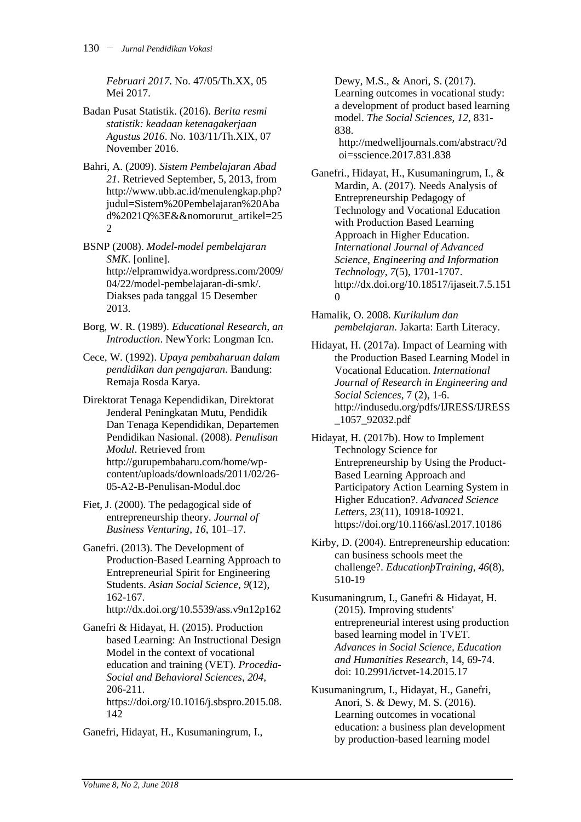*Februari 2017*. No. 47/05/Th.XX, 05 Mei 2017.

- Badan Pusat Statistik. (2016). *Berita resmi statistik: keadaan ketenagakerjaan Agustus 2016*. No. 103/11/Th.XIX, 07 November 2016.
- Bahri, A. (2009). *Sistem Pembelajaran Abad 21*. Retrieved September, 5, 2013, from http://www.ubb.ac.id/menulengkap.php? judul=Sistem%20Pembelajaran%20Aba d%2021Q%3E&&nomorurut\_artikel=25 2

BSNP (2008). *Model-model pembelajaran SMK*. [online]. http://elpramwidya.wordpress.com/2009/ 04/22/model-pembelajaran-di-smk/. Diakses pada tanggal 15 Desember 2013.

- Borg, W. R. (1989). *Educational Research, an Introduction*. NewYork: Longman Icn.
- Cece, W. (1992). *Upaya pembaharuan dalam pendidikan dan pengajaran*. Bandung: Remaja Rosda Karya.

Direktorat Tenaga Kependidikan, Direktorat Jenderal Peningkatan Mutu, Pendidik Dan Tenaga Kependidikan, Departemen Pendidikan Nasional. (2008). *Penulisan Modul*. Retrieved from http://gurupembaharu.com/home/wpcontent/uploads/downloads/2011/02/26- 05-A2-B-Penulisan-Modul.doc

Fiet, J. (2000). The pedagogical side of entrepreneurship theory. *Journal of Business Venturing*, *16*, 101–17.

Ganefri. (2013). The Development of Production-Based Learning Approach to Entrepreneurial Spirit for Engineering Students. *Asian Social Science*, *9*(12), 162-167. http://dx.doi.org/10.5539/ass.v9n12p162

Ganefri & Hidayat, H. (2015). Production based Learning: An Instructional Design Model in the context of vocational education and training (VET). *Procedia-Social and Behavioral Sciences*, *204*, 206-211. https://doi.org/10.1016/j.sbspro.2015.08. 142

Ganefri, Hidayat, H., Kusumaningrum, I.,

Dewy, M.S., & Anori, S. (2017). Learning outcomes in vocational study: a development of product based learning model. *The Social Sciences*, *12*, 831- 838.

http://medwelljournals.com/abstract/?d oi=sscience.2017.831.838

Ganefri., Hidayat, H., Kusumaningrum, I., & Mardin, A. (2017). Needs Analysis of Entrepreneurship Pedagogy of Technology and Vocational Education with Production Based Learning Approach in Higher Education. *International Journal of Advanced Science, Engineering and Information Technology*, *7*(5), 1701-1707. http://dx.doi.org/10.18517/ijaseit.7.5.151  $\Omega$ 

Hamalik, O. 2008. *Kurikulum dan pembelajaran*. Jakarta: Earth Literacy.

Hidayat, H. (2017a). Impact of Learning with the Production Based Learning Model in Vocational Education. *International Journal of Research in Engineering and Social Sciences*, 7 (2), 1-6. http://indusedu.org/pdfs/IJRESS/IJRESS \_1057\_92032.pdf

Hidayat, H. (2017b). How to Implement Technology Science for Entrepreneurship by Using the Product-Based Learning Approach and Participatory Action Learning System in Higher Education?. *Advanced Science Letters*, *23*(11), 10918-10921. https://doi.org/10.1166/asl.2017.10186

Kirby, D. (2004). Entrepreneurship education: can business schools meet the challenge?. *EducationþTraining*, *46*(8), 510-19

Kusumaningrum, I., Ganefri & Hidayat, H. (2015). Improving students' entrepreneurial interest using production based learning model in TVET. *Advances in Social Science, Education and Humanities Research*, 14, 69-74. doi: 10.2991/ictvet-14.2015.17

Kusumaningrum, I., Hidayat, H., Ganefri, Anori, S. & Dewy, M. S. (2016). Learning outcomes in vocational education: a business plan development by production-based learning model